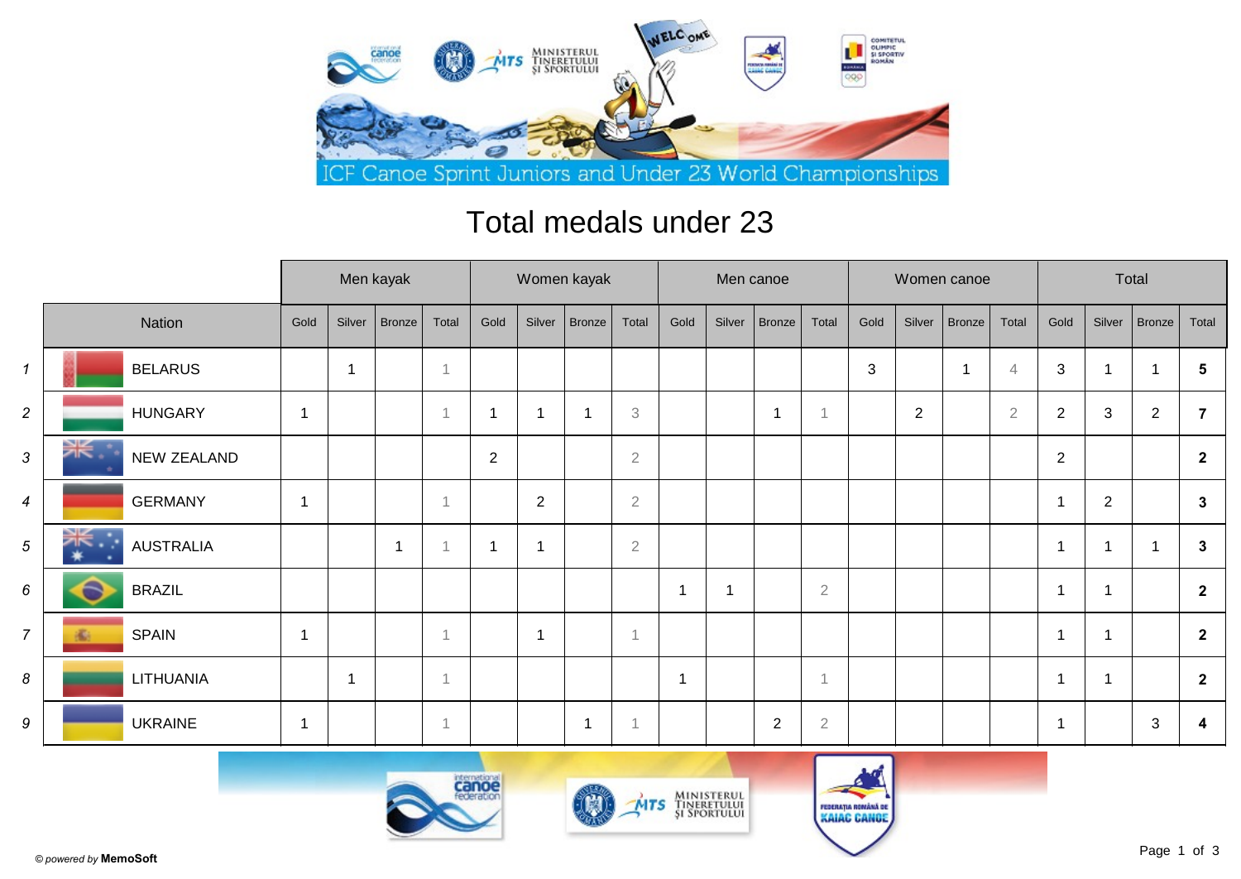

## Total medals under 23

|                          |                  | Men kayak |        |        |       |                |                | Women kayak   |                |                         | Men canoe |                |                |      |                | Women canoe |                | Total          |                |                |                |  |
|--------------------------|------------------|-----------|--------|--------|-------|----------------|----------------|---------------|----------------|-------------------------|-----------|----------------|----------------|------|----------------|-------------|----------------|----------------|----------------|----------------|----------------|--|
|                          | Nation           | Gold      | Silver | Bronze | Total | Gold           | Silver         | <b>Bronze</b> | Total          | Gold                    | Silver    | Bronze         | Total          | Gold | Silver         | Bronze      | Total          | Gold           | Silver         | Bronze         | Total          |  |
| $\mathbf{1}$             | <b>BELARUS</b>   |           | -1     |        |       |                |                |               |                |                         |           |                |                | 3    |                | -1          | $\overline{4}$ | 3              | 1              | -1             | 5              |  |
| $\overline{c}$           | <b>HUNGARY</b>   | -1        |        |        |       | 1              | -1             |               | 3              |                         |           | 1              | $\overline{A}$ |      | $\overline{2}$ |             | $\overline{2}$ | $\overline{2}$ | 3              | $\overline{2}$ |                |  |
| 3                        | NEW ZEALAND      |           |        |        |       | $\overline{2}$ |                |               | $\overline{2}$ |                         |           |                |                |      |                |             |                | $\overline{2}$ |                |                | $\mathbf{2}$   |  |
| $\overline{\mathcal{A}}$ | <b>GERMANY</b>   |           |        |        |       |                | 2              |               | $\overline{2}$ |                         |           |                |                |      |                |             |                | -1             | $\overline{2}$ |                | $\mathbf{3}$   |  |
| 5                        | <b>AUSTRALIA</b> |           |        | 1      |       | 1              | -1             |               | $\overline{2}$ |                         |           |                |                |      |                |             |                | -1             | 1              |                | $\mathbf{3}$   |  |
| 6                        | <b>BRAZIL</b>    |           |        |        |       |                |                |               |                | $\overline{\mathbf{1}}$ |           |                | $\overline{2}$ |      |                |             |                |                | 1              |                | $\mathbf{2}$   |  |
| $\overline{7}$           | <b>SPAIN</b>     |           |        |        |       |                | $\overline{1}$ |               | 1              |                         |           |                |                |      |                |             |                | -1             | -1             |                | $\mathbf{2}$   |  |
| 8                        | LITHUANIA        |           | -1     |        |       |                |                |               |                | -1                      |           |                | 1              |      |                |             |                |                | 1              |                | $\overline{2}$ |  |
| 9                        | <b>UKRAINE</b>   |           |        |        |       |                |                | 1             |                |                         |           | $\overline{2}$ | $\sqrt{2}$     |      |                |             |                |                |                | $\sqrt{3}$     | 4              |  |





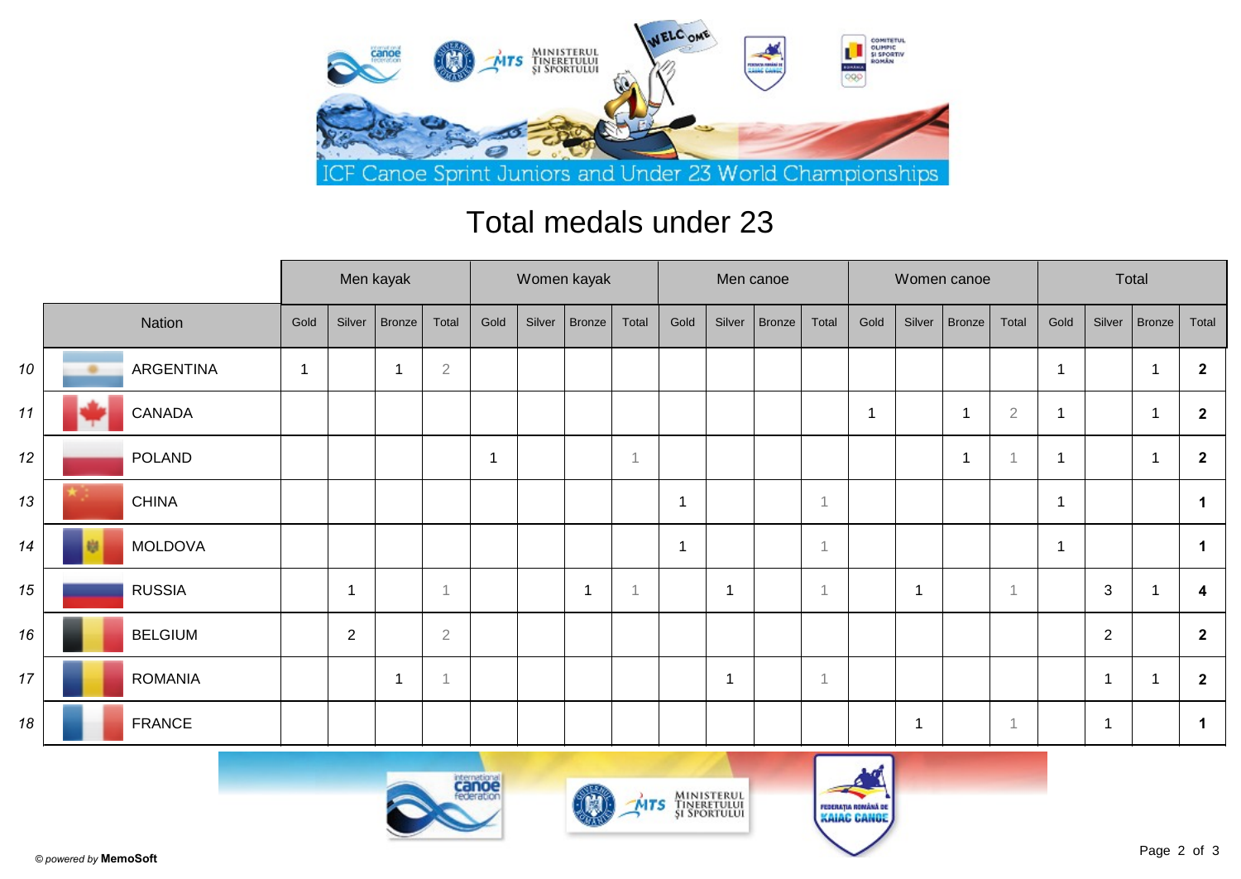

## Total medals under 23

|    |                  |                |                | Men kayak   |                | Women kayak |        |        |                |                |                | Men canoe     |                |              |        | Women canoe             |                | Total |        |                          |                |  |
|----|------------------|----------------|----------------|-------------|----------------|-------------|--------|--------|----------------|----------------|----------------|---------------|----------------|--------------|--------|-------------------------|----------------|-------|--------|--------------------------|----------------|--|
|    | Nation           | Gold           | Silver         | Bronze      | Total          | Gold        | Silver | Bronze | Total          | Gold           | Silver         | <b>Bronze</b> | Total          | Gold         | Silver | Bronze                  | Total          | Gold  | Silver | Bronze                   | Total          |  |
| 10 | <b>ARGENTINA</b> | $\overline{1}$ |                |             | $\sqrt{2}$     |             |        |        |                |                |                |               |                |              |        |                         |                |       |        | -1                       | $\mathbf{2}$   |  |
| 11 | CANADA           |                |                |             |                |             |        |        |                |                |                |               |                | $\mathbf{1}$ |        | $\overline{\mathbf{1}}$ | $\overline{2}$ | -1    |        | $\mathbf{1}$             | $\mathbf{2}$   |  |
| 12 | POLAND           |                |                |             |                | f           |        |        | $\overline{A}$ |                |                |               |                |              |        | 1                       |                |       |        | $\overline{\phantom{a}}$ | $\mathbf{2}$   |  |
| 13 | <b>CHINA</b>     |                |                |             |                |             |        |        |                | -1             |                |               | $\overline{1}$ |              |        |                         |                | -1    |        |                          | $\mathbf 1$    |  |
| 14 | <b>MOLDOVA</b>   |                |                |             |                |             |        |        |                | $\overline{1}$ |                |               | 1              |              |        |                         |                | 1     |        |                          |                |  |
| 15 | <b>RUSSIA</b>    |                | -1             |             | -1             |             |        | -1     |                |                | $\overline{1}$ |               | 1              |              |        |                         | -1             |       | 3      |                          | 4              |  |
| 16 | <b>BELGIUM</b>   |                | $\overline{2}$ |             | $\overline{2}$ |             |        |        |                |                |                |               |                |              |        |                         |                |       | 2      |                          | $\overline{2}$ |  |
| 17 | <b>ROMANIA</b>   |                |                | $\mathbf 1$ | -1             |             |        |        |                |                | 1              |               | 1              |              |        |                         |                |       | 1      |                          | $\overline{2}$ |  |
| 18 | <b>FRANCE</b>    |                |                |             |                |             |        |        |                |                |                |               |                |              |        |                         | $\overline{1}$ |       | 1      |                          | -1             |  |